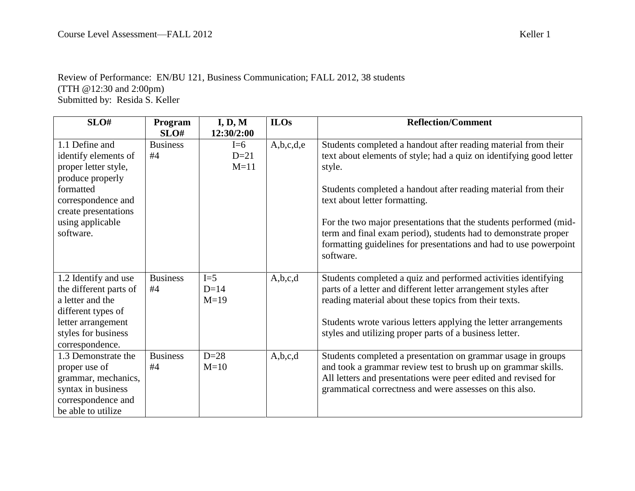## Review of Performance: EN/BU 121, Business Communication; FALL 2012, 38 students (TTH @12:30 and 2:00pm) Submitted by: Resida S. Keller

| SLO#                                                                                                                                                                           | Program<br>SLO#       | I, D, M<br>12:30/2:00     | <b>ILOs</b> | <b>Reflection/Comment</b>                                                                                                                                                                                                                                                                                                                                                                                                                                                    |
|--------------------------------------------------------------------------------------------------------------------------------------------------------------------------------|-----------------------|---------------------------|-------------|------------------------------------------------------------------------------------------------------------------------------------------------------------------------------------------------------------------------------------------------------------------------------------------------------------------------------------------------------------------------------------------------------------------------------------------------------------------------------|
| 1.1 Define and<br>identify elements of<br>proper letter style,<br>produce properly<br>formatted<br>correspondence and<br>create presentations<br>using applicable<br>software. | <b>Business</b><br>#4 | $I=6$<br>$D=21$<br>$M=11$ | A,b,c,d,e   | Students completed a handout after reading material from their<br>text about elements of style; had a quiz on identifying good letter<br>style.<br>Students completed a handout after reading material from their<br>text about letter formatting.<br>For the two major presentations that the students performed (mid-<br>term and final exam period), students had to demonstrate proper<br>formatting guidelines for presentations and had to use powerpoint<br>software. |
| 1.2 Identify and use<br>the different parts of<br>a letter and the<br>different types of<br>letter arrangement<br>styles for business<br>correspondence.                       | <b>Business</b><br>#4 | $I=5$<br>$D=14$<br>$M=19$ | A,b,c,d     | Students completed a quiz and performed activities identifying<br>parts of a letter and different letter arrangement styles after<br>reading material about these topics from their texts.<br>Students wrote various letters applying the letter arrangements<br>styles and utilizing proper parts of a business letter.                                                                                                                                                     |
| 1.3 Demonstrate the<br>proper use of<br>grammar, mechanics,<br>syntax in business<br>correspondence and<br>be able to utilize                                                  | <b>Business</b><br>#4 | $D=28$<br>$M=10$          | A,b,c,d     | Students completed a presentation on grammar usage in groups<br>and took a grammar review test to brush up on grammar skills.<br>All letters and presentations were peer edited and revised for<br>grammatical correctness and were assesses on this also.                                                                                                                                                                                                                   |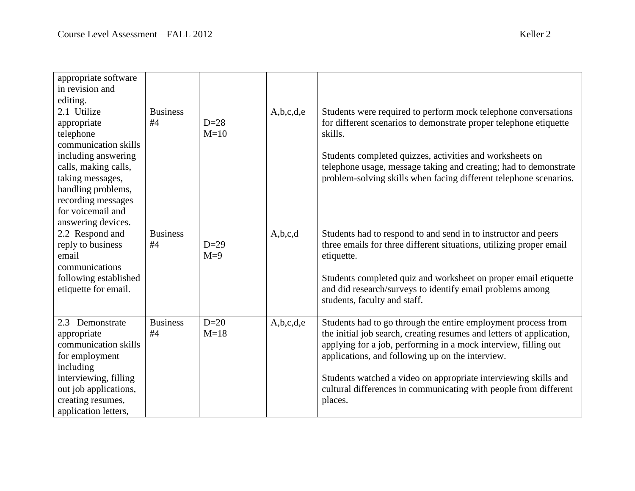appropriate software in revision and

editing.

| Students were required to perform mock telephone conversations<br>for different scenarios to demonstrate proper telephone etiquette<br>kills. |
|-----------------------------------------------------------------------------------------------------------------------------------------------|

| 2.1 Utilize           | <b>Business</b> |        | A,b,c,d,e | Students were required to perform mock telephone conversations       |
|-----------------------|-----------------|--------|-----------|----------------------------------------------------------------------|
| appropriate           | #4              | $D=28$ |           | for different scenarios to demonstrate proper telephone etiquette    |
| telephone             |                 | $M=10$ |           | skills.                                                              |
| communication skills  |                 |        |           |                                                                      |
| including answering   |                 |        |           | Students completed quizzes, activities and worksheets on             |
| calls, making calls,  |                 |        |           | telephone usage, message taking and creating; had to demonstrate     |
| taking messages,      |                 |        |           | problem-solving skills when facing different telephone scenarios.    |
| handling problems,    |                 |        |           |                                                                      |
| recording messages    |                 |        |           |                                                                      |
| for voicemail and     |                 |        |           |                                                                      |
| answering devices.    |                 |        |           |                                                                      |
| 2.2 Respond and       | <b>Business</b> |        | A,b,c,d   | Students had to respond to and send in to instructor and peers       |
| reply to business     | #4              | $D=29$ |           | three emails for three different situations, utilizing proper email  |
| email                 |                 | $M=9$  |           | etiquette.                                                           |
| communications        |                 |        |           |                                                                      |
| following established |                 |        |           | Students completed quiz and worksheet on proper email etiquette      |
| etiquette for email.  |                 |        |           | and did research/surveys to identify email problems among            |
|                       |                 |        |           | students, faculty and staff.                                         |
|                       |                 |        |           |                                                                      |
| 2.3 Demonstrate       | <b>Business</b> | $D=20$ | A,b,c,d,e | Students had to go through the entire employment process from        |
| appropriate           | #4              | $M=18$ |           | the initial job search, creating resumes and letters of application, |
| communication skills  |                 |        |           | applying for a job, performing in a mock interview, filling out      |
| for employment        |                 |        |           | applications, and following up on the interview.                     |
| including             |                 |        |           |                                                                      |
| interviewing, filling |                 |        |           | Students watched a video on appropriate interviewing skills and      |
| out job applications, |                 |        |           | cultural differences in communicating with people from different     |
| creating resumes,     |                 |        |           | places.                                                              |
| application letters,  |                 |        |           |                                                                      |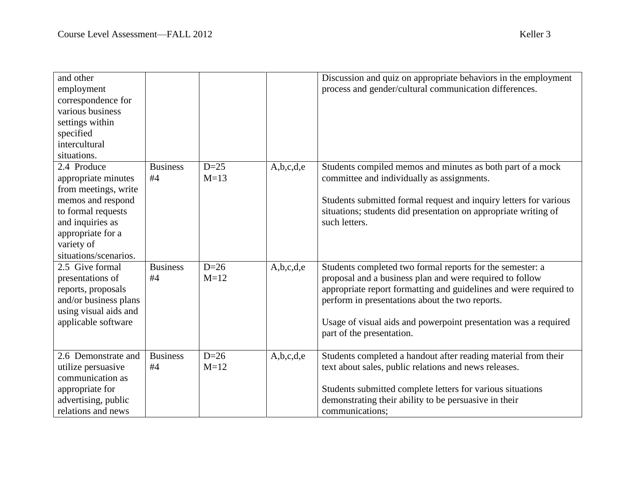| and other<br>employment<br>correspondence for<br>various business<br>settings within<br>specified<br>intercultural<br>situations.                                                     |                       |                  |           | Discussion and quiz on appropriate behaviors in the employment<br>process and gender/cultural communication differences.                                                                                                                                                                                                                      |
|---------------------------------------------------------------------------------------------------------------------------------------------------------------------------------------|-----------------------|------------------|-----------|-----------------------------------------------------------------------------------------------------------------------------------------------------------------------------------------------------------------------------------------------------------------------------------------------------------------------------------------------|
| 2.4 Produce<br>appropriate minutes<br>from meetings, write<br>memos and respond<br>to formal requests<br>and inquiries as<br>appropriate for a<br>variety of<br>situations/scenarios. | <b>Business</b><br>#4 | $D=25$<br>$M=13$ | A,b,c,d,e | Students compiled memos and minutes as both part of a mock<br>committee and individually as assignments.<br>Students submitted formal request and inquiry letters for various<br>situations; students did presentation on appropriate writing of<br>such letters.                                                                             |
| 2.5 Give formal<br>presentations of<br>reports, proposals<br>and/or business plans<br>using visual aids and<br>applicable software                                                    | <b>Business</b><br>#4 | $D=26$<br>$M=12$ | A,b,c,d,e | Students completed two formal reports for the semester: a<br>proposal and a business plan and were required to follow<br>appropriate report formatting and guidelines and were required to<br>perform in presentations about the two reports.<br>Usage of visual aids and powerpoint presentation was a required<br>part of the presentation. |
| 2.6 Demonstrate and<br>utilize persuasive<br>communication as<br>appropriate for<br>advertising, public<br>relations and news                                                         | <b>Business</b><br>#4 | $D=26$<br>$M=12$ | A,b,c,d,e | Students completed a handout after reading material from their<br>text about sales, public relations and news releases.<br>Students submitted complete letters for various situations<br>demonstrating their ability to be persuasive in their<br>communications;                                                                             |